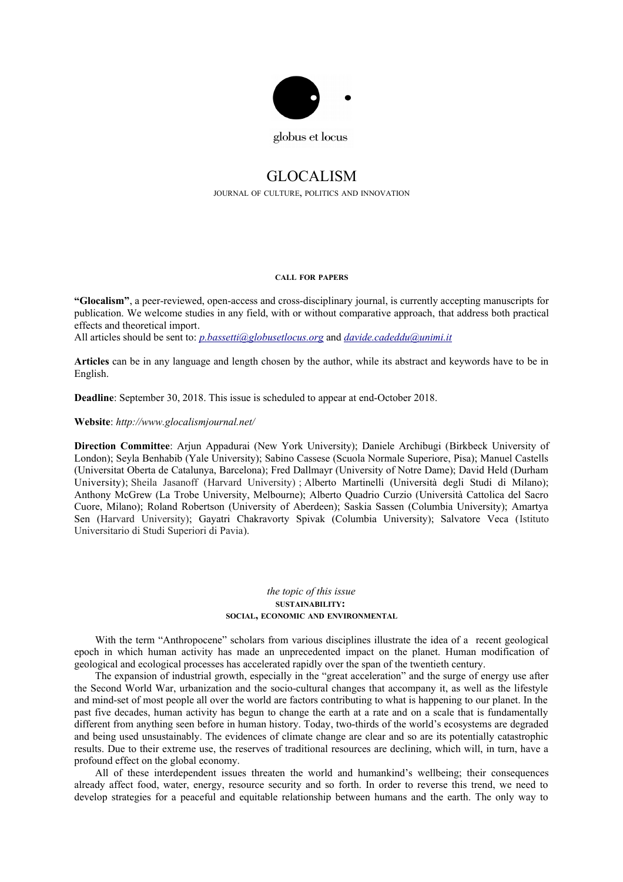

## GLOCALISM

JOURNAL OF CULTURE, POLITICS AND INNOVATION

## **CALL FOR PAPERS**

**"Glocalism"**, a peer-reviewed, open-access and cross-disciplinary journal, is currently accepting manuscripts for publication. We welcome studies in any field, with or without comparative approach, that address both practical effects and theoretical import.

All articles should be sent to: *[p.bassetti@globusetlocus.org](mailto:p.bassetti@globusetlocus.org)* and *[davide.cadeddu@unimi.it](mailto:davide.cadeddu@unimi.it)*

**Articles** can be in any language and length chosen by the author, while its abstract and keywords have to be in English.

**Deadline**: September 30, 2018. This issue is scheduled to appear at end-October 2018.

**Website**: *http://www.glocalismjournal.net/*

**Direction Committee**: Arjun Appadurai (New York University); Daniele Archibugi (Birkbeck University of London); Seyla Benhabib (Yale University); Sabino Cassese (Scuola Normale Superiore, Pisa); Manuel Castells (Universitat Oberta de Catalunya, Barcelona); Fred Dallmayr (University of Notre Dame); David Held (Durham University); Sheila Jasanoff (Harvard University) ; Alberto Martinelli (Università degli Studi di Milano); Anthony McGrew (La Trobe University, Melbourne); Alberto Quadrio Curzio (Università Cattolica del Sacro Cuore, Milano); Roland Robertson (University of Aberdeen); Saskia Sassen (Columbia University); Amartya Sen (Harvard University); Gayatri Chakravorty Spivak (Columbia University); Salvatore Veca (Istituto Universitario di Studi Superiori di Pavia).

## *the topic of this issue* **SUSTAINABILITY: SOCIAL, ECONOMIC AND ENVIRONMENTAL**

With the term "Anthropocene" scholars from various disciplines illustrate the idea of a recent geological epoch in which human activity has made an unprecedented impact on the planet. Human modification of geological and ecological processes has accelerated rapidly over the span of the twentieth century.

The expansion of industrial growth, especially in the "great acceleration" and the surge of energy use after the Second World War, urbanization and the socio-cultural changes that accompany it, as well as the lifestyle and mind-set of most people all over the world are factors contributing to what is happening to our planet. In the past five decades, human activity has begun to change the earth at a rate and on a scale that is fundamentally different from anything seen before in human history. Today, two-thirds of the world's ecosystems are degraded and being used unsustainably. The evidences of climate change are clear and so are its potentially catastrophic results. Due to their extreme use, the reserves of traditional resources are declining, which will, in turn, have a profound effect on the global economy.

All of these interdependent issues threaten the world and humankind's wellbeing; their consequences already affect food, water, energy, resource security and so forth. In order to reverse this trend, we need to develop strategies for a peaceful and equitable relationship between humans and the earth. The only way to